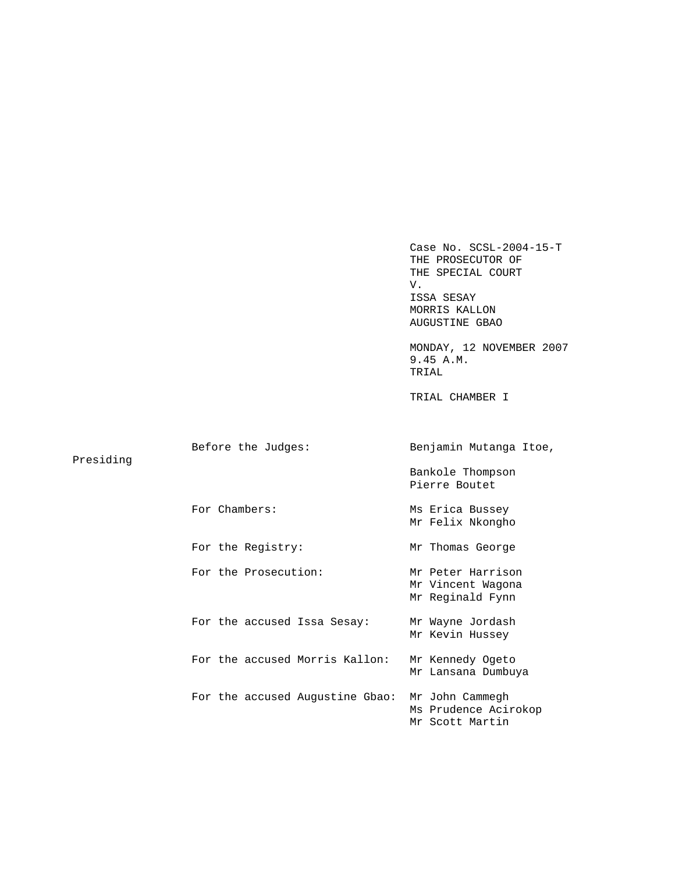Case No. SCSL-2004-15-T THE PROSECUTOR OF THE SPECIAL COURT V. ISSA SESAY MORRIS KALLON AUGUSTINE GBAO MONDAY, 12 NOVEMBER 2007 9.45 A.M. TRIAL TRIAL CHAMBER I Before the Judges: Benjamin Mutanga Itoe, Presiding Bankole Thompson Pierre Boutet For Chambers: Ms Erica Bussey Mr Felix Nkongho For the Registry: Mr Thomas George For the Prosecution: Mr Peter Harrison Mr Vincent Wagona Mr Reginald Fynn For the accused Issa Sesay: Mr Wayne Jordash Mr Kevin Hussey For the accused Morris Kallon: Mr Kennedy Ogeto Mr Lansana Dumbuya For the accused Augustine Gbao: Mr John Cammegh Ms Prudence Acirokop Mr Scott Martin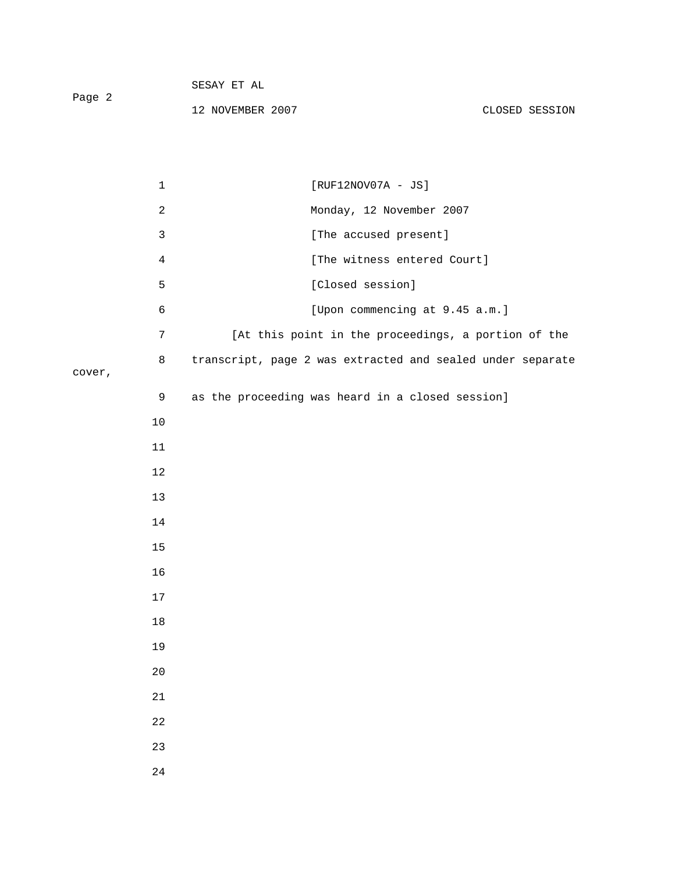|        | SESAY ET AL      |                      |                |
|--------|------------------|----------------------|----------------|
| Page 2 | 12 NOVEMBER 2007 |                      | CLOSED SESSION |
|        |                  |                      |                |
|        |                  |                      |                |
|        |                  | $[RUF12NOV07A - JS]$ |                |

cover,

|        | 2              | Monday, 12 November 2007                                   |
|--------|----------------|------------------------------------------------------------|
|        | $\mathsf{3}$   | [The accused present]                                      |
|        | $\overline{4}$ | [The witness entered Court]                                |
|        | 5              | [Closed session]                                           |
|        | 6              | [Upon commencing at 9.45 a.m.]                             |
|        | 7              | [At this point in the proceedings, a portion of the        |
| cover, | 8              | transcript, page 2 was extracted and sealed under separate |
|        | 9              | as the proceeding was heard in a closed session]           |
|        | $10$           |                                                            |
|        | $11\,$         |                                                            |
|        | $12\,$         |                                                            |
|        | 13             |                                                            |
|        | 14             |                                                            |
|        | $15$           |                                                            |
|        | 16             |                                                            |
|        | $17\,$         |                                                            |
|        | 18             |                                                            |
|        | 19             |                                                            |
|        | 20             |                                                            |
|        | 21             |                                                            |
|        | $2\sqrt{2}$    |                                                            |
|        | 23             |                                                            |
|        | $2\sqrt{4}$    |                                                            |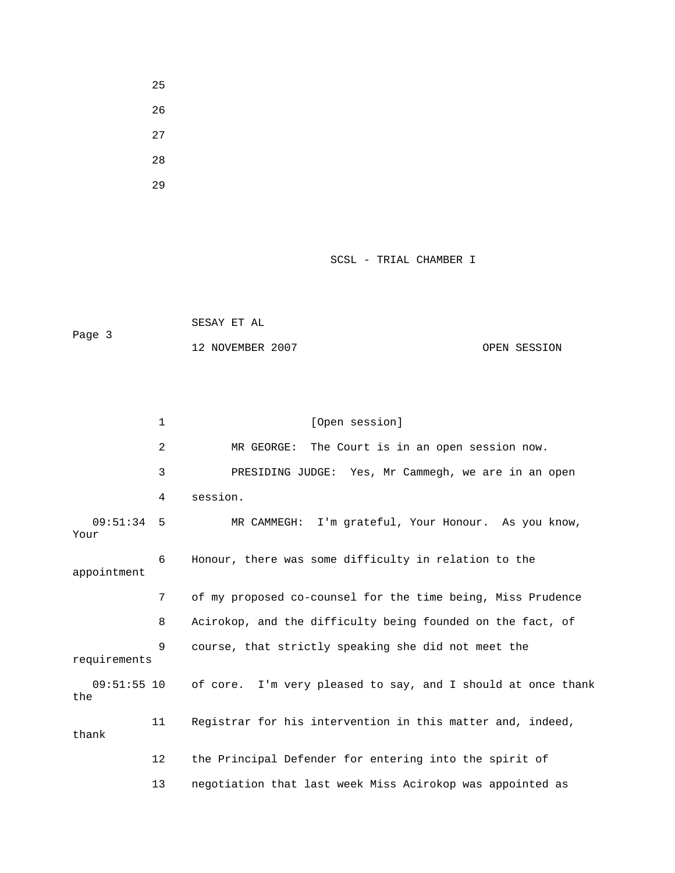- 25 26
- 27
- 28
- 29

SCSL - TRIAL CHAMBER I

|        | SESAY ET AL      |              |
|--------|------------------|--------------|
| Page 3 |                  |              |
|        | 12 NOVEMBER 2007 | OPEN SESSION |

|                      | $\mathbf{1}$ | [Open session]                                               |  |
|----------------------|--------------|--------------------------------------------------------------|--|
|                      | 2            | The Court is in an open session now.<br>MR GEORGE:           |  |
|                      | 3            | PRESIDING JUDGE: Yes, Mr Cammegh, we are in an open          |  |
|                      | 4            | session.                                                     |  |
| $09:51:34$ 5<br>Your |              | MR CAMMEGH: I'm grateful, Your Honour. As you know,          |  |
| appointment          | 6            | Honour, there was some difficulty in relation to the         |  |
|                      | 7            | of my proposed co-counsel for the time being, Miss Prudence  |  |
|                      | 8            | Acirokop, and the difficulty being founded on the fact, of   |  |
| requirements         | 9            | course, that strictly speaking she did not meet the          |  |
| $09:51:55$ 10<br>the |              | of core. I'm very pleased to say, and I should at once thank |  |
| thank                | 11           | Registrar for his intervention in this matter and, indeed,   |  |
|                      | 12           | the Principal Defender for entering into the spirit of       |  |
|                      | 13           | negotiation that last week Miss Acirokop was appointed as    |  |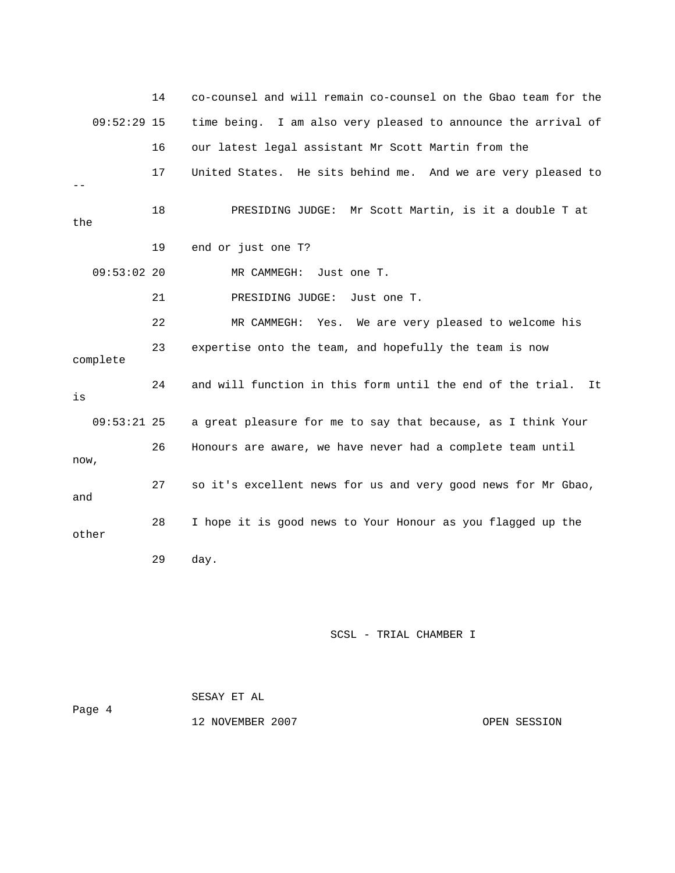|               | 14 | co-counsel and will remain co-counsel on the Gbao team for the    |
|---------------|----|-------------------------------------------------------------------|
| $09:52:29$ 15 |    | time being. I am also very pleased to announce the arrival of     |
|               | 16 | our latest legal assistant Mr Scott Martin from the               |
|               | 17 | United States. He sits behind me. And we are very pleased to      |
| the           | 18 | PRESIDING JUDGE: Mr Scott Martin, is it a double T at             |
|               | 19 | end or just one T?                                                |
| 09:53:0220    |    | MR CAMMEGH:<br>Just one T.                                        |
|               | 21 | PRESIDING JUDGE:<br>Just one T.                                   |
|               | 22 | Yes. We are very pleased to welcome his<br>MR CAMMEGH:            |
| complete      | 23 | expertise onto the team, and hopefully the team is now            |
| is            | 24 | and will function in this form until the end of the trial.<br>It. |
| $09:53:21$ 25 |    | a great pleasure for me to say that because, as I think Your      |
| now,          | 26 | Honours are aware, we have never had a complete team until        |
| and           | 27 | so it's excellent news for us and very good news for Mr Gbao,     |
| other         | 28 | I hope it is good news to Your Honour as you flagged up the       |
|               | 29 | day.                                                              |

SCSL - TRIAL CHAMBER I

 SESAY ET AL Page 4 12 NOVEMBER 2007 OPEN SESSION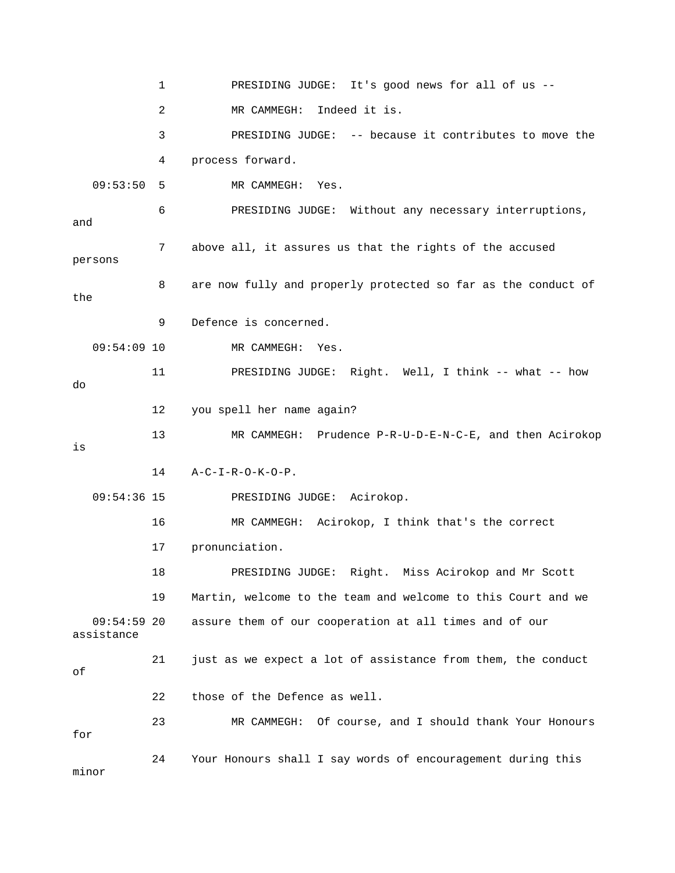1 PRESIDING JUDGE: It's good news for all of us -- 2 MR CAMMEGH: Indeed it is. 3 PRESIDING JUDGE: -- because it contributes to move the 4 process forward. 09:53:50 5 MR CAMMEGH: Yes. 6 PRESIDING JUDGE: Without any necessary interruptions, and 7 above all, it assures us that the rights of the accused persons 8 are now fully and properly protected so far as the conduct of the 9 Defence is concerned. 09:54:09 10 MR CAMMEGH: Yes. 11 PRESIDING JUDGE: Right. Well, I think -- what -- how do 12 you spell her name again? 13 MR CAMMEGH: Prudence P-R-U-D-E-N-C-E, and then Acirokop is 14 A-C-I-R-O-K-O-P. 09:54:36 15 PRESIDING JUDGE: Acirokop. 16 MR CAMMEGH: Acirokop, I think that's the correct 17 pronunciation. 18 PRESIDING JUDGE: Right. Miss Acirokop and Mr Scott 19 Martin, welcome to the team and welcome to this Court and we 09:54:59 20 assure them of our cooperation at all times and of our assistance 21 just as we expect a lot of assistance from them, the conduct of 22 those of the Defence as well. 23 MR CAMMEGH: Of course, and I should thank Your Honours for 24 Your Honours shall I say words of encouragement during this minor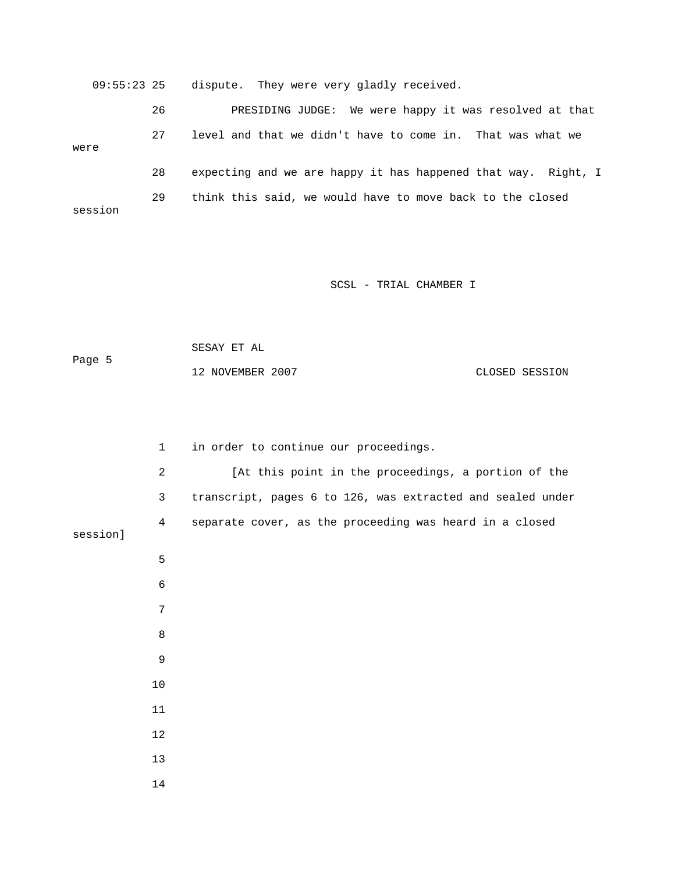09:55:23 25 dispute. They were very gladly received. 26 PRESIDING JUDGE: We were happy it was resolved at that 27 level and that we didn't have to come in. That was what we were 28 expecting and we are happy it has happened that way. Right, I 29 think this said, we would have to move back to the closed session

SCSL - TRIAL CHAMBER I

 SESAY ET AL Page 5 12 NOVEMBER 2007 CLOSED SESSION

 1 in order to continue our proceedings. 2 [At this point in the proceedings, a portion of the 3 transcript, pages 6 to 126, was extracted and sealed under 4 separate cover, as the proceeding was heard in a closed session] 5 6 7 8 9 10 11 12 13 14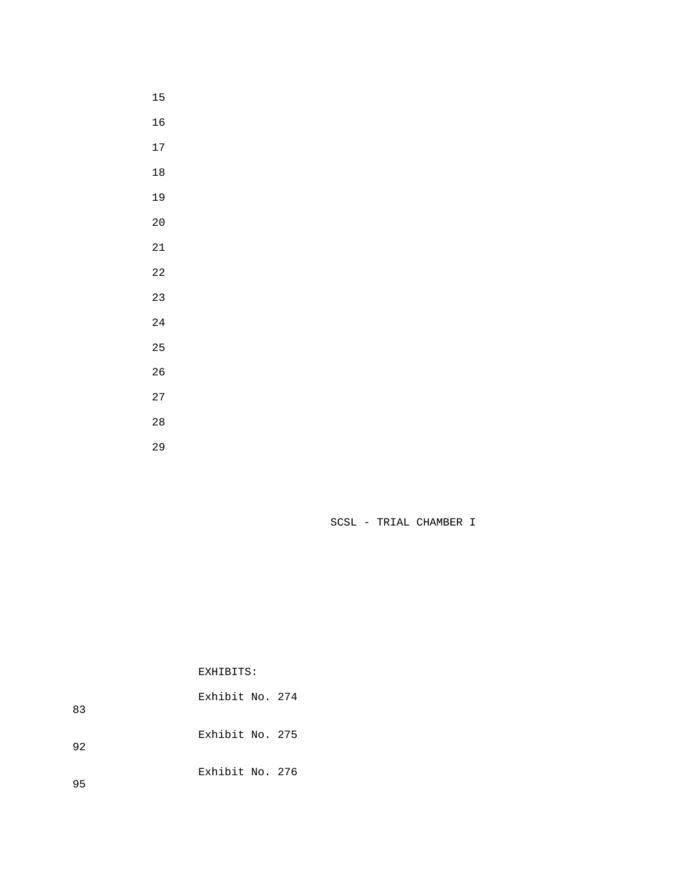- 
- 
- 
- 
- 
- 
- 
- 
- 
- 
- 
- 
- 
- 
- 
- 
- 

SCSL - TRIAL CHAMBER I

EXHIBITS:

 Exhibit No. 274 Exhibit No. 275 Exhibit No. 276